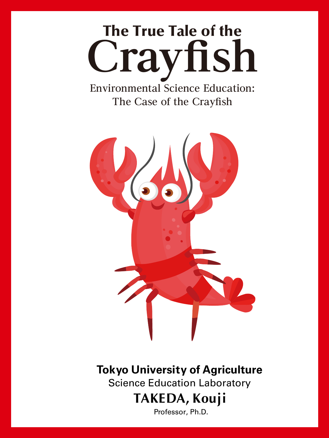# The True Tale of the Crayfish

**Environmental Science Education: The Case of the Crayfish**



**Tokyo University of Agriculture**

Science Education Laboratory

## **TAKEDA, Kouji**

Professor, Ph.D.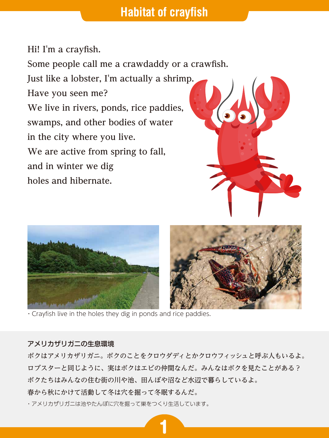## **Habitat of crayfish**

**Hi! I'm a crayfish. Some people call me a crawdaddy or a crawfish. Just like a lobster, I'm actually a shrimp. Have you seen me? We live in rivers, ponds, rice paddies, swamps, and other bodies of water in the city where you live. We are active from spring to fall, and in winter we dig holes and hibernate.**







・Crayfish live in the holes they dig in ponds and rice paddies.

#### アメリカザリガニの生息環境

ボクはアメリカザリガニ。ボクのことをクロウダディとかクロウフィッシュと呼ぶ人もいるよ。 ロブスターと同じように、実はボクはエビの仲間なんだ。みんなはボクを見たことがある? ボクたちはみんなの住む街の川や池、田んぼや沼など水辺で暮らしているよ。 春から秋にかけて活動して冬は穴を掘って冬眠するんだ。

1

・アメリカザリガニは池やたんぼに穴を掘って巣をつくり生活しています。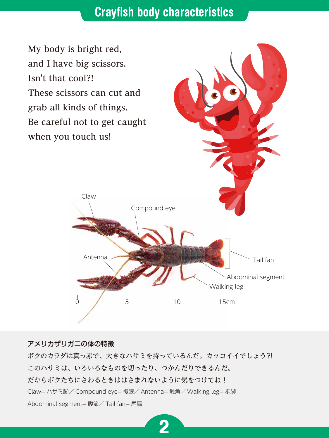## **Crayfish body characteristics**

**My body is bright red, and I have big scissors. Isn't that cool?! These scissors can cut and grab all kinds of things. Be careful not to get caught when you touch us!**



#### アメリカザリガニの体の特徴

ボクのカラダは真っ赤で、大きなハサミを持っているんだ。カッコイイでしょう?! このハサミは、いろいろなものを切ったり、つかんだりできるんだ。 だからボクたちにさわるときははさまれないように気をつけてね! Claw= ハサミ脚/ Compound eye= 複眼/ Antenna= 触角/ Walking leg= 歩脚 Abdominal segment= 腹節/ Tail fan= 尾扇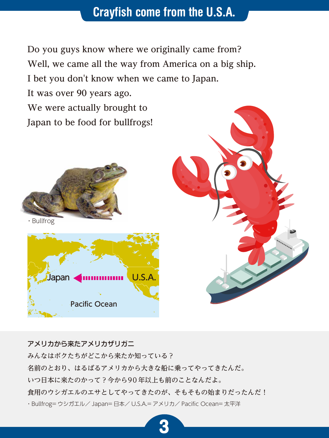## **Crayfish come from the U.S.A.**

**Do you guys know where we originally came from? Well, we came all the way from America on a big ship.** 

**I bet you don't know when we came to Japan.** 

**It was over 90 years ago. We were actually brought to Japan to be food for bullfrogs!**



・Bullfrog





### アメリカから来たアメリカザリガニ

みんなはボクたちがどこから来たか知っている? 名前のとおり、はるばるアメリカから大きな船に乗ってやってきたんだ。 いつ日本に来たのかって?今から90 年以上も前のことなんだよ。 食用のウシガエルのエサとしてやってきたのが、そもそもの始まりだったんだ! ・Bullfrog= ウシガエル/ Japan= 日本/ U.S.A.= アメリカ/ Pacific Ocean= 太平洋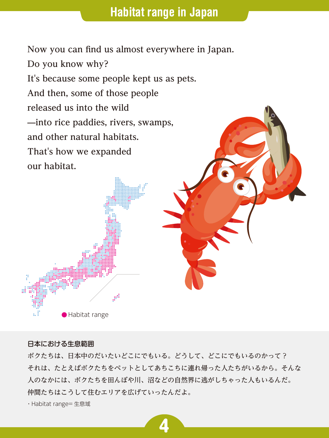**Now you can find us almost everywhere in Japan. Do you know why? It's because some people kept us as pets. And then, some of those people released us into the wild ̶into rice paddies, rivers, swamps, and other natural habitats. That's how we expanded our habitat.**

#### 日本における生息範囲

Habitat range

ボクたちは、日本中のだいたいどこにでもいる。どうして、どこにでもいるのかって? それは、たとえばボクたちをペットとしてあちこちに連れ帰った人たちがいるから。そんな 人のなかには、ボクたちを田んぼや川、沼などの自然界に逃がしちゃった人もいるんだ。 仲間たちはこうして住むエリアを広げていったんだよ。

4

・Habitat range= 生息域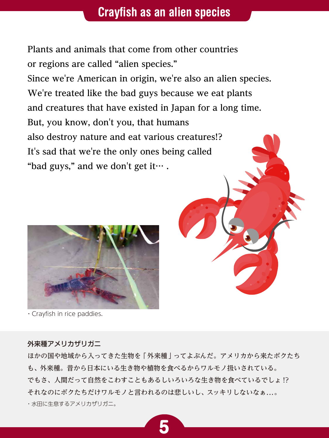## **Crayfish as an alien species**

**Plants and animals that come from other countries or regions are called "alien species."** 

**Since we're American in origin, we're also an alien species. We're treated like the bad guys because we eat plants and creatures that have existed in Japan for a long time. But, you know, don't you, that humans also destroy nature and eat various creatures!? It's sad that we're the only ones being called "bad guys," and we don't get it… .**



・Crayfish in rice paddies.

#### 外来種アメリカザリガニ

ほかの国や地域から入ってきた生物を「外来種」ってよぶんだ。アメリカから来たボクたち も、外来種。昔から日本にいる生き物や植物を食べるからワルモノ扱いされている。 でもさ、人間だって自然をこわすこともあるしいろいろな生き物を食べているでしょ !? それなのにボクたちだけワルモノと言われるのは悲しいし、スッキリしないなぁ...。 ・水田に生息するアメリカザリガニ。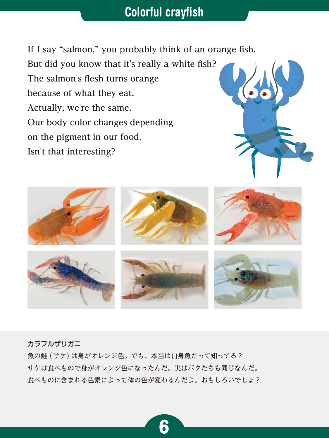## **Colorful crayfish**

**If I say "salmon," you probably think of an orange fish. But did you know that it's really a white fish? The salmon's flesh turns orange because of what they eat. Actually, we're the same. Our body color changes depending on the pigment in our food. Isn't that interesting?**





カラフルザリガニ

魚の鮭(サケ)は身がオレンジ色。でも、本当は白身魚だって知ってる? サケは食べもので身がオレンジ色になったんだ。実はボクたちも同じなんだ。 食べものに含まれる色素によって体の色が変わるんだよ。おもしろいでしょ?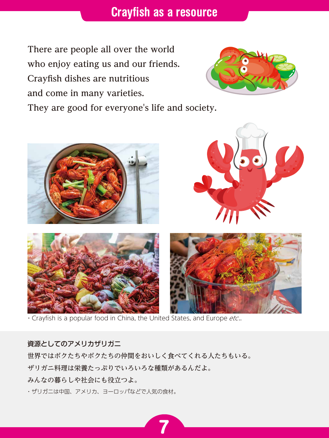## **Crayfish as a resource**

**There are people all over the world who enjoy eating us and our friends. Crayfish dishes are nutritious and come in many varieties.** 



**They are good for everyone's life and society.**



. Crayfish is a popular food in China, the United States, and Europe etc..

#### 資源としてのアメリカザリガニ

世界ではボクたちやボクたちの仲間をおいしく食べてくれる人たちもいる。

7

ザリガニ料理は栄養たっぷりでいろいろな種類があるんだよ。

みんなの暮らしや社会にも役立つよ。

・ザリガニは中国、アメリカ、ヨーロッパなどで人気の食材。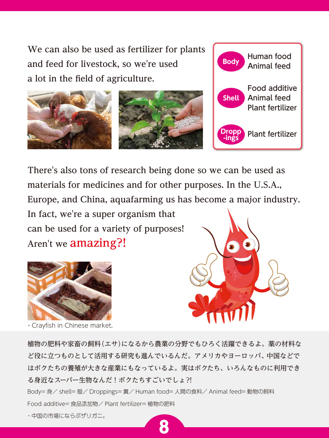**We can also be used as fertilizer for plants and feed for livestock, so we're used a lot in the field of agriculture.**



**There's also tons of research being done so we can be used as materials for medicines and for other purposes. In the U.S.A., Europe, and China, aquafarming us has become a major industry.** 

**In fact, we're a super organism that can be used for a variety of purposes! Aren't we amazing?!**



・Crayfish in Chinese market.



Human food

Animal feed **Body**

植物の肥料や家畜の飼料(エサ)になるから農業の分野でもひろく活躍できるよ。薬の材料な ど役に立つものとして活用する研究も進んでいるんだ。アメリカやヨーロッパ、中国などで はボクたちの養殖が大きな産業にもなっているよ。実はボクたち、いろんなものに利用でき る身近なスーパー生物なんだ!ボクたちすごいでしょ?! Body= 身/ shell= 殻/ Droppings= 糞/ Human food= 人間の食料/ Animal feed= 動物の飼料 Food additive= 食品添加物/ Plant fertilizer= 植物の肥料 ・中国の市場にならぶザリガニ。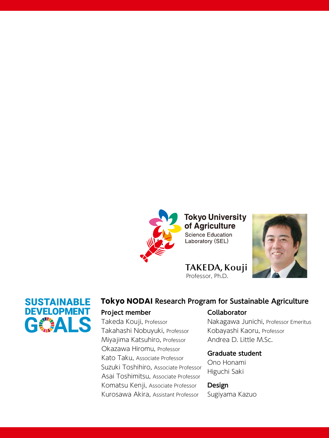

**Tokyo University** of Agriculture **Science Education** Laboratory (SEL)

**TAKEDA,Kouji**





Professor, Ph.D.

## Tokyo NODAI **Research Program for Sustainable Agriculture**

#### **Project member**

Takeda Kouji, Professor Takahashi Nobuyuki, Professor Miyajima Katsuhiro, Professor Okazawa Hiromu, Professor Kato Taku, Associate Professor Suzuki Toshihiro, Associate Professor Asai Toshimitsu, Associate Professor Komatsu Kenji, Associate Professor Kurosawa Akira, Assistant Professor

## **Collaborator**

Nakagawa Junichi, Professor Emeritus Kobayashi Kaoru, Professor Andrea D. Little M.Sc.

#### **Graduate student**

Ono Honami Higuchi Saki

## **Design**

Sugiyama Kazuo